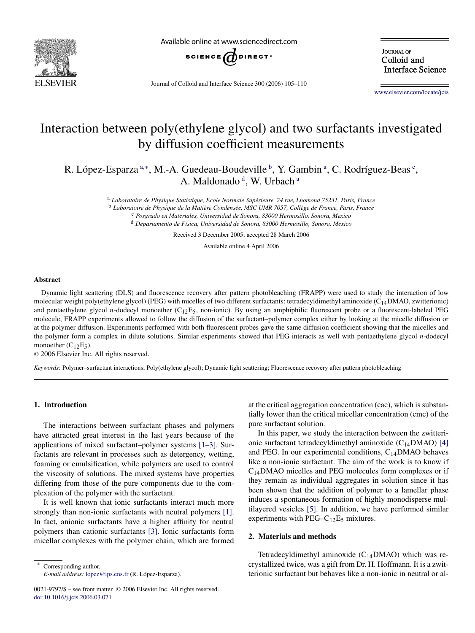

Available online at www.sciencedirect.com



**JOURNAL OF** Colloid and **Interface Science** 

Journal of Colloid and Interface Science 300 (2006) 105–110

[www.elsevier.com/locate/jcis](http://www.elsevier.com/locate/jcis)

# Interaction between poly(ethylene glycol) and two surfactants investigated by diffusion coefficient measurements

R. López-Esparza<sup>a,∗</sup>, M.-A. Guedeau-Boudeville <sup>b</sup>, Y. Gambin <sup>a</sup>, C. Rodríguez-Beas <sup>c</sup>, A. Maldonado<sup>d</sup>, W. Urbach<sup>a</sup>

> <sup>a</sup> *Laboratoire de Physique Statistique, Ecole Normale Supérieure, 24 rue, Lhomond 75231, Paris, France* <sup>b</sup> *Laboratoire de Physique de la Matière Condensée, MSC UMR 7057, Collège de France, Paris, France* <sup>c</sup> *Posgrado en Materiales, Universidad de Sonora, 83000 Hermosillo, Sonora, Mexico* <sup>d</sup> *Departamento de Física, Universidad de Sonora, 83000 Hermosillo, Sonora, Mexico*

> > Received 3 December 2005; accepted 28 March 2006

Available online 4 April 2006

#### **Abstract**

Dynamic light scattering (DLS) and fluorescence recovery after pattern photobleaching (FRAPP) were used to study the interaction of low molecular weight poly(ethylene glycol) (PEG) with micelles of two different surfactants: tetradecyldimethyl aminoxide  $(C_{14}DMAO, zwitterionic)$ and pentaethylene glycol *n*-dodecyl monoether (C<sub>12</sub>E<sub>5</sub>, non-ionic). By using an amphiphilic fluorescent probe or a fluorescent-labeled PEG molecule, FRAPP experiments allowed to follow the diffusion of the surfactant–polymer complex either by looking at the micelle diffusion or at the polymer diffusion. Experiments performed with both fluorescent probes gave the same diffusion coefficient showing that the micelles and the polymer form a complex in dilute solutions. Similar experiments showed that PEG interacts as well with pentaethylene glycol *n*-dodecyl monoether  $(C_{12}E_5)$ .

© 2006 Elsevier Inc. All rights reserved.

*Keywords:* Polymer–surfactant interactions; Poly(ethylene glycol); Dynamic light scattering; Fluorescence recovery after pattern photobleaching

# **1. Introduction**

The interactions between surfactant phases and polymers have attracted great interest in the last years because of the applications of mixed surfactant–polymer systems [\[1–3\].](#page-5-0) Surfactants are relevant in processes such as detergency, wetting, foaming or emulsification, while polymers are used to control the viscosity of solutions. The mixed systems have properties differing from those of the pure components due to the complexation of the polymer with the surfactant.

It is well known that ionic surfactants interact much more strongly than non-ionic surfactants with neutral polymers [\[1\].](#page-5-0) In fact, anionic surfactants have a higher affinity for neutral polymers than cationic surfactants [\[3\].](#page-5-0) Ionic surfactants form micellar complexes with the polymer chain, which are formed

Corresponding author. *E-mail address:* [lopez@lps.ens.fr](mailto:lopez@lps.ens.fr) (R. López-Esparza).

0021-9797/\$ – see front matter © 2006 Elsevier Inc. All rights reserved. [doi:10.1016/j.jcis.2006.03.071](http://dx.doi.org/10.1016/j.jcis.2006.03.071)

at the critical aggregation concentration (cac), which is substantially lower than the critical micellar concentration (cmc) of the pure surfactant solution.

In this paper, we study the interaction between the zwitterionic surfactant tetradecyldimethyl aminoxide  $(C_{14}DMAO)$  [\[4\]](#page-5-0) and PEG. In our experimental conditions,  $C_{14}$ DMAO behaves like a non-ionic surfactant. The aim of the work is to know if C14DMAO micelles and PEG molecules form complexes or if they remain as individual aggregates in solution since it has been shown that the addition of polymer to a lamellar phase induces a spontaneous formation of highly monodisperse multilayered vesicles [\[5\].](#page-5-0) In addition, we have performed similar experiments with  $PEG-C_{12}E_5$  mixtures.

## **2. Materials and methods**

Tetradecyldimethyl aminoxide  $(C_{14}DMAO)$  which was recrystallized twice, was a gift from Dr. H. Hoffmann. It is a zwitterionic surfactant but behaves like a non-ionic in neutral or al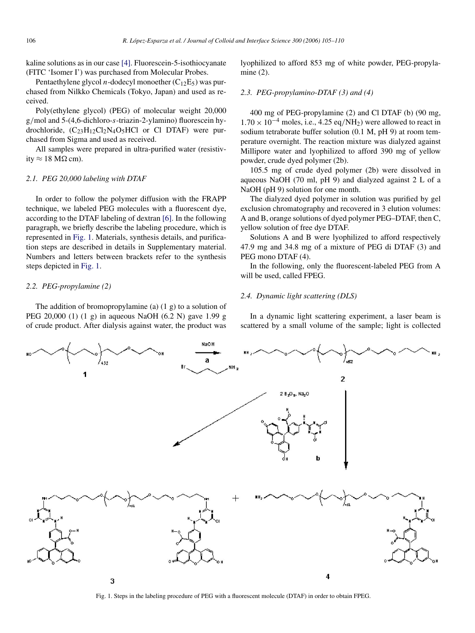kaline solutions as in our case [\[4\].](#page-5-0) Fluorescein-5-isothiocyanate (FITC 'Isomer I') was purchased from Molecular Probes.

Pentaethylene glycol *n*-dodecyl monoether  $(C_{12}E_5)$  was purchased from Nilkko Chemicals (Tokyo, Japan) and used as received.

Poly(ethylene glycol) (PEG) of molecular weight 20,000 g*/*mol and 5-(4,6-dichloro-*s*-triazin-2-ylamino) fluorescein hydrochloride,  $(C_{23}H_{12}Cl_2N_4O_5HCl$  or Cl DTAF) were purchased from Sigma and used as received.

All samples were prepared in ultra-purified water (resistivity  $\approx$  18 M $\Omega$  cm).

## *2.1. PEG 20,000 labeling with DTAF*

In order to follow the polymer diffusion with the FRAPP technique, we labeled PEG molecules with a fluorescent dye, according to the DTAF labeling of dextran [\[6\].](#page-5-0) In the following paragraph, we briefly describe the labeling procedure, which is represented in Fig. 1. Materials, synthesis details, and purification steps are described in details in Supplementary material. Numbers and letters between brackets refer to the synthesis steps depicted in Fig. 1.

## *2.2. PEG-propylamine (2)*

The addition of bromopropylamine (a)  $(1 g)$  to a solution of PEG 20,000 (1) (1 g) in aqueous NaOH (6.2 N) gave 1.99 g of crude product. After dialysis against water, the product was lyophilized to afford 853 mg of white powder, PEG-propylamine (2).

#### *2.3. PEG-propylamino-DTAF (3) and (4)*

400 mg of PEG-propylamine (2) and Cl DTAF (b) (90 mg,  $1.70 \times 10^{-4}$  moles, i.e., 4.25 eq/NH<sub>2</sub>) were allowed to react in sodium tetraborate buffer solution (0.1 M, pH 9) at room temperature overnight. The reaction mixture was dialyzed against Millipore water and lyophilized to afford 390 mg of yellow powder, crude dyed polymer (2b).

105.5 mg of crude dyed polymer (2b) were dissolved in aqueous NaOH (70 ml, pH 9) and dialyzed against 2 L of a NaOH (pH 9) solution for one month.

The dialyzed dyed polymer in solution was purified by gel exclusion chromatography and recovered in 3 elution volumes: A and B, orange solutions of dyed polymer PEG–DTAF, then C, yellow solution of free dye DTAF.

Solutions A and B were lyophilized to afford respectively 47.9 mg and 34.8 mg of a mixture of PEG di DTAF (3) and PEG mono DTAF (4).

In the following, only the fluorescent-labeled PEG from A will be used, called FPEG.

## *2.4. Dynamic light scattering (DLS)*

In a dynamic light scattering experiment, a laser beam is scattered by a small volume of the sample; light is collected



Fig. 1. Steps in the labeling procedure of PEG with a fluorescent molecule (DTAF) in order to obtain FPEG.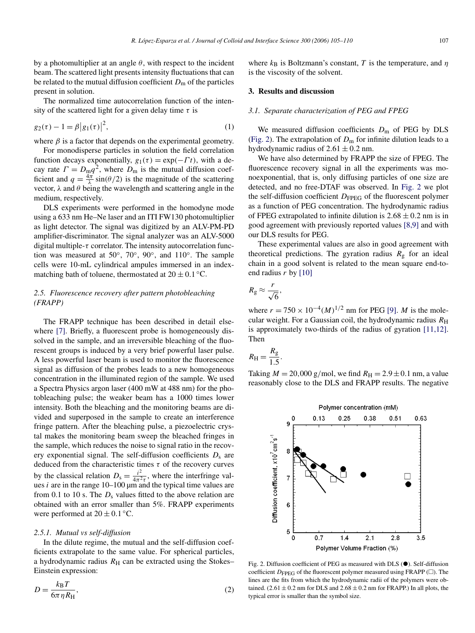<span id="page-2-0"></span>by a photomultiplier at an angle  $\theta$ , with respect to the incident beam. The scattered light presents intensity fluctuations that can be related to the mutual diffusion coefficient  $D<sub>m</sub>$  of the particles present in solution.

The normalized time autocorrelation function of the intensity of the scattered light for a given delay time  $\tau$  is

$$
g_2(\tau) - 1 = \beta |g_1(\tau)|^2,
$$
 (1)

where  $\beta$  is a factor that depends on the experimental geometry.

For monodisperse particles in solution the field correlation function decays exponentially,  $g_1(\tau) = \exp(-\Gamma t)$ , with a decay rate  $\Gamma = D_{\text{m}} q^2$ , where  $D_{\text{m}}$  is the mutual diffusion coefficient and  $q = \frac{4\pi}{\lambda} \sin(\theta/2)$  is the magnitude of the scattering vector,  $\lambda$  and  $\theta$  being the wavelength and scattering angle in the medium, respectively.

DLS experiments were performed in the homodyne mode using a 633 nm He–Ne laser and an ITI FW130 photomultiplier as light detector. The signal was digitized by an ALV-PM-PD amplifier-discriminator. The signal analyzer was an ALV-5000 digital multiple-*τ* correlator. The intensity autocorrelation function was measured at 50◦, 70◦, 90◦, and 110◦. The sample cells were 10-mL cylindrical ampules immersed in an indexmatching bath of toluene, thermostated at  $20 \pm 0.1$  °C.

# *2.5. Fluorescence recovery after pattern photobleaching (FRAPP)*

The FRAPP technique has been described in detail else-where [\[7\].](#page-5-0) Briefly, a fluorescent probe is homogeneously dissolved in the sample, and an irreversible bleaching of the fluorescent groups is induced by a very brief powerful laser pulse. A less powerful laser beam is used to monitor the fluorescence signal as diffusion of the probes leads to a new homogeneous concentration in the illuminated region of the sample. We used a Spectra Physics argon laser (400 mW at 488 nm) for the photobleaching pulse; the weaker beam has a 1000 times lower intensity. Both the bleaching and the monitoring beams are divided and superposed in the sample to create an interference fringe pattern. After the bleaching pulse, a piezoelectric crystal makes the monitoring beam sweep the bleached fringes in the sample, which reduces the noise to signal ratio in the recovery exponential signal. The self-diffusion coefficients  $D_s$  are deduced from the characteristic times  $\tau$  of the recovery curves by the classical relation  $D_s = \frac{i^2}{4\pi^2 \tau}$ , where the interfringe values  $i$  are in the range  $10-100 \mu m$  and the typical time values are from 0.1 to 10 s. The  $D_s$  values fitted to the above relation are obtained with an error smaller than 5%. FRAPP experiments were performed at  $20 \pm 0.1$  °C.

#### *2.5.1. Mutual vs self-diffusion*

In the dilute regime, the mutual and the self-diffusion coefficients extrapolate to the same value. For spherical particles, a hydrodynamic radius  $R<sub>H</sub>$  can be extracted using the Stokes– Einstein expression:

$$
D = \frac{k_{\rm B}T}{6\pi \eta R_{\rm H}},\tag{2}
$$

where  $k_B$  is Boltzmann's constant, *T* is the temperature, and  $\eta$ is the viscosity of the solvent.

# **3. Results and discussion**

#### *3.1. Separate characterization of PEG and FPEG*

We measured diffusion coefficients  $D<sub>m</sub>$  of PEG by DLS (Fig. 2). The extrapolation of  $D<sub>m</sub>$  for infinite dilution leads to a hydrodynamic radius of  $2.61 \pm 0.2$  nm.

We have also determined by FRAPP the size of FPEG. The fluorescence recovery signal in all the experiments was monoexponential, that is, only diffusing particles of one size are detected, and no free-DTAF was observed. In Fig. 2 we plot the self-diffusion coefficient  $D_{\text{FPEG}}$  of the fluorescent polymer as a function of PEG concentration. The hydrodynamic radius of FPEG extrapolated to infinite dilution is  $2.68 \pm 0.2$  nm is in good agreement with previously reported values [\[8,9\]](#page-5-0) and with our DLS results for PEG.

These experimental values are also in good agreement with theoretical predictions. The gyration radius  $R<sub>g</sub>$  for an ideal chain in a good solvent is related to the mean square end-toend radius *r* by [\[10\]](#page-5-0)

$$
R_{\rm g}\approx \frac{r}{\sqrt{6}},
$$

where  $r = 750 \times 10^{-4} (M)^{1/2}$  nm for PEG [\[9\].](#page-5-0) *M* is the molecular weight. For a Gaussian coil, the hydrodynamic radius  $R<sub>H</sub>$ is approximately two-thirds of the radius of gyration [\[11,12\].](#page-5-0) Then

$$
R_{\rm H} = \frac{R_{\rm g}}{1.5}.
$$

Taking  $M = 20,000$  g/mol, we find  $R_H = 2.9 \pm 0.1$  nm, a value reasonably close to the DLS and FRAPP results. The negative



Fig. 2. Diffusion coefficient of PEG as measured with DLS  $(\bullet)$ . Self-diffusion coefficient  $D_{\text{FPEG}}$  of the fluorescent polymer measured using FRAPP ( $\square$ ). The lines are the fits from which the hydrodynamic radii of the polymers were obtained.  $(2.61 \pm 0.2 \text{ nm}$  for DLS and  $2.68 \pm 0.2 \text{ nm}$  for FRAPP.) In all plots, the typical error is smaller than the symbol size.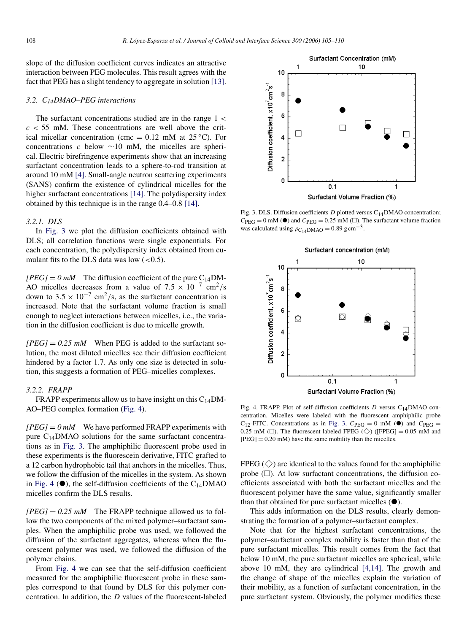slope of the diffusion coefficient curves indicates an attractive interaction between PEG molecules. This result agrees with the fact that PEG has a slight tendency to aggregate in solution [\[13\].](#page-5-0)

#### *3.2. C14DMAO–PEG interactions*

The surfactant concentrations studied are in the range 1 *<*  $c < 55$  mM. These concentrations are well above the critical micellar concentration (cmc =  $0.12$  mM at  $25^{\circ}$ C). For concentrations *c* below ∼10 mM, the micelles are spherical. Electric birefringence experiments show that an increasing surfactant concentration leads to a sphere-to-rod transition at around 10 mM [\[4\].](#page-5-0) Small-angle neutron scattering experiments (SANS) confirm the existence of cylindrical micelles for the higher surfactant concentrations [\[14\].](#page-5-0) The polydispersity index obtained by this technique is in the range 0.4–0.8 [\[14\].](#page-5-0)

#### *3.2.1. DLS*

In Fig. 3 we plot the diffusion coefficients obtained with DLS; all correlation functions were single exponentials. For each concentration, the polydispersity index obtained from cumulant fits to the DLS data was low (*<*0.5).

 $[PEG] = 0$  mM The diffusion coefficient of the pure  $C_{14}DM$ -AO micelles decreases from a value of 7*.*<sup>5</sup> <sup>×</sup> <sup>10</sup>−<sup>7</sup> cm2*/*<sup>s</sup> down to  $3.5 \times 10^{-7}$  cm<sup>2</sup>/s, as the surfactant concentration is increased. Note that the surfactant volume fraction is small enough to neglect interactions between micelles, i.e., the variation in the diffusion coefficient is due to micelle growth.

 $[PEG] = 0.25$  mM When PEG is added to the surfactant solution, the most diluted micelles see their diffusion coefficient hindered by a factor 1.7. As only one size is detected in solution, this suggests a formation of PEG–micelles complexes.

## *3.2.2. FRAPP*

FRAPP experiments allow us to have insight on this  $C_{14}DM$ -AO–PEG complex formation (Fig. 4).

*[PEG]* = *0 mM* We have performed FRAPP experiments with pure  $C_{14}$ DMAO solutions for the same surfactant concentrations as in Fig. 3. The amphiphilic fluorescent probe used in these experiments is the fluorescein derivative, FITC grafted to a 12 carbon hydrophobic tail that anchors in the micelles. Thus, we follow the diffusion of the micelles in the system. As shown in Fig. 4  $(\bullet)$ , the self-diffusion coefficients of the C<sub>14</sub>DMAO micelles confirm the DLS results.

 $[PEG] = 0.25$  mM The FRAPP technique allowed us to follow the two components of the mixed polymer–surfactant samples. When the amphiphilic probe was used, we followed the diffusion of the surfactant aggregates, whereas when the fluorescent polymer was used, we followed the diffusion of the polymer chains.

From Fig. 4 we can see that the self-diffusion coefficient measured for the amphiphilic fluorescent probe in these samples correspond to that found by DLS for this polymer concentration. In addition, the *D* values of the fluorescent-labeled



Fig. 3. DLS. Diffusion coefficients *D* plotted versus C<sub>14</sub>DMAO concentration;  $C_{\text{PEG}} = 0 \text{ mM}$  ( $\bullet$ ) and  $C_{\text{PEG}} = 0.25 \text{ mM}$  ( $\Box$ ). The surfactant volume fraction was calculated using  $\rho_{C_{14}DMAO} = 0.89$  g cm<sup>-3</sup>.



Fig. 4. FRAPP. Plot of self-diffusion coefficients *D* versus C<sub>14</sub>DMAO concentration. Micelles were labeled with the fluorescent amphiphilic probe C<sub>12</sub>-FITC. Concentrations as in Fig. 3,  $C_{PEG} = 0$  mM ( $\bullet$ ) and  $C_{PEG} =$ 0.25 mM ( $\square$ ). The fluorescent-labeled FPEG ( $\diamondsuit$ ) ([FPEG] = 0.05 mM and  $[PEG] = 0.20$  mM) have the same mobility than the micelles.

FPEG  $(\diamondsuit)$  are identical to the values found for the amphiphilic probe  $(\square)$ . At low surfactant concentrations, the diffusion coefficients associated with both the surfactant micelles and the fluorescent polymer have the same value, significantly smaller than that obtained for pure surfactant micelles  $(•)$ .

This adds information on the DLS results, clearly demonstrating the formation of a polymer–surfactant complex.

Note that for the highest surfactant concentrations, the polymer–surfactant complex mobility is faster than that of the pure surfactant micelles. This result comes from the fact that below 10 mM, the pure surfactant micelles are spherical, while above 10 mM, they are cylindrical [\[4,14\].](#page-5-0) The growth and the change of shape of the micelles explain the variation of their mobility, as a function of surfactant concentration, in the pure surfactant system. Obviously, the polymer modifies these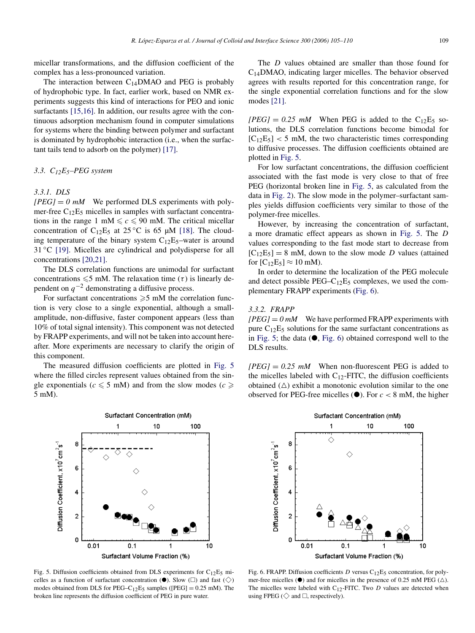<span id="page-4-0"></span>micellar transformations, and the diffusion coefficient of the complex has a less-pronounced variation.

The interaction between  $C_{14}$ DMAO and PEG is probably of hydrophobic type. In fact, earlier work, based on NMR experiments suggests this kind of interactions for PEO and ionic surfactants [\[15,16\].](#page-5-0) In addition, our results agree with the continuous adsorption mechanism found in computer simulations for systems where the binding between polymer and surfactant is dominated by hydrophobic interaction (i.e., when the surfactant tails tend to adsorb on the polymer) [\[17\].](#page-5-0)

# *3.3. C12E5–PEG system*

## *3.3.1. DLS*

 $[PEG] = 0$  mM We performed DLS experiments with polymer-free  $C_{12}E_5$  micelles in samples with surfactant concentrations in the range 1 mM  $\leq c \leq 90$  mM. The critical micellar concentration of C<sub>12</sub>E<sub>5</sub> at 25 °C is 65  $\mu$ M [\[18\].](#page-5-0) The clouding temperature of the binary system  $C_{12}E_5$ -water is around 31 ◦C [\[19\].](#page-5-0) Micelles are cylindrical and polydisperse for all concentrations [\[20,21\].](#page-5-0)

The DLS correlation functions are unimodal for surfactant concentrations  $\leq 5$  mM. The relaxation time ( $\tau$ ) is linearly dependent on *q*−<sup>2</sup> demonstrating a diffusive process.

For surfactant concentrations  $\geq 5$  mM the correlation function is very close to a single exponential, although a smallamplitude, non-diffusive, faster component appears (less than 10% of total signal intensity). This component was not detected by FRAPP experiments, and will not be taken into account hereafter. More experiments are necessary to clarify the origin of this component.

The measured diffusion coefficients are plotted in Fig. 5 where the filled circles represent values obtained from the single exponentials ( $c \leq 5$  mM) and from the slow modes ( $c \geq 5$ 5 mM).

 $\mathbf{1}$ 

Ĉ

**B** 

6

4

 $\overline{2}$ 

 $\mathbf 0$ 

 $0.01$ 

Diffusion Coefficient, x10<sup>7</sup>cm<sup>2</sup>s<sup>-1</sup>

The *D* values obtained are smaller than those found for C14DMAO, indicating larger micelles. The behavior observed agrees with results reported for this concentration range, for the single exponential correlation functions and for the slow modes [\[21\].](#page-5-0)

 $[PEG] = 0.25$  mM When PEG is added to the C<sub>12</sub>E<sub>5</sub> solutions, the DLS correlation functions become bimodal for  $[C_{12}E_5]$  < 5 mM, the two characteristic times corresponding to diffusive processes. The diffusion coefficients obtained are plotted in Fig. 5.

For low surfactant concentrations, the diffusion coefficient associated with the fast mode is very close to that of free PEG (horizontal broken line in Fig. 5, as calculated from the data in [Fig. 2\)](#page-2-0). The slow mode in the polymer–surfactant samples yields diffusion coefficients very similar to those of the polymer-free micelles.

However, by increasing the concentration of surfactant, a more dramatic effect appears as shown in Fig. 5. The *D* values corresponding to the fast mode start to decrease from  $[C_{12}E_5] = 8$  mM, down to the slow mode *D* values (attained for  $[C_1E_5] \approx 10$  mM).

In order to determine the localization of the PEG molecule and detect possible  $PEG-C_{12}E_5$  complexes, we used the complementary FRAPP experiments (Fig. 6).

## *3.3.2. FRAPP*

 $[PEG] = 0$  mM We have performed FRAPP experiments with pure  $C_{12}E_5$  solutions for the same surfactant concentrations as in Fig. 5; the data  $(\bullet, Fig. 6)$  obtained correspond well to the DLS results.

 $[PEG] = 0.25$  mM When non-fluorescent PEG is added to the micelles labeled with  $C_{12}$ -FITC, the diffusion coefficients obtained  $(\triangle)$  exhibit a monotonic evolution similar to the one observed for PEG-free micelles  $(\bullet)$ . For  $c < 8$  mM, the higher



Fig. 5. Diffusion coefficients obtained from DLS experiments for  $C_{12}E_5$  micelles as a function of surfactant concentration  $(\bullet)$ . Slow  $(\square)$  and fast  $(\diamondsuit)$ modes obtained from DLS for PEG–C<sub>12</sub>E<sub>5</sub> samples ([PEG] =  $0.25$  mM). The broken line represents the diffusion coefficient of PEG in pure water.

 $0.1$ 



Fig. 6. FRAPP. Diffusion coefficients  $D$  versus  $C_{12}E_5$  concentration, for polymer-free micelles  $(\bullet)$  and for micelles in the presence of 0.25 mM PEG ( $\triangle$ ). The micelles were labeled with  $C_{12}$ -FITC. Two *D* values are detected when using FPEG ( $\diamondsuit$  and  $\Box$ , respectively).